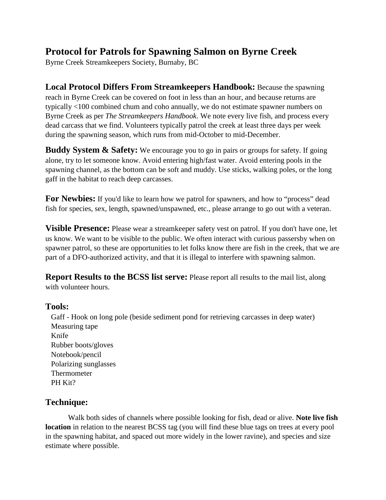## **Protocol for Patrols for Spawning Salmon on Byrne Creek**

Byrne Creek Streamkeepers Society, Burnaby, BC

**Local Protocol Differs From Streamkeepers Handbook:** Because the spawning reach in Byrne Creek can be covered on foot in less than an hour, and because returns are typically <100 combined chum and coho annually, we do not estimate spawner numbers on Byrne Creek as per *The Streamkeepers Handbook*. We note every live fish, and process every dead carcass that we find. Volunteers typically patrol the creek at least three days per week during the spawning season, which runs from mid-October to mid-December.

**Buddy System & Safety:** We encourage you to go in pairs or groups for safety. If going alone, try to let someone know. Avoid entering high/fast water. Avoid entering pools in the spawning channel, as the bottom can be soft and muddy. Use sticks, walking poles, or the long gaff in the habitat to reach deep carcasses.

**For Newbies:** If you'd like to learn how we patrol for spawners, and how to "process" dead fish for species, sex, length, spawned/unspawned, etc., please arrange to go out with a veteran.

**Visible Presence:** Please wear a streamkeeper safety vest on patrol. If you don't have one, let us know. We want to be visible to the public. We often interact with curious passersby when on spawner patrol, so these are opportunities to let folks know there are fish in the creek, that we are part of a DFO-authorized activity, and that it is illegal to interfere with spawning salmon.

**Report Results to the BCSS list serve:** Please report all results to the mail list, along with volunteer hours.

## **Tools:**

 Gaff - Hook on long pole (beside sediment pond for retrieving carcasses in deep water) Measuring tape Knife Rubber boots/gloves Notebook/pencil Polarizing sunglasses Thermometer PH Kit?

## **Technique:**

Walk both sides of channels where possible looking for fish, dead or alive. **Note live fish location** in relation to the nearest BCSS tag (you will find these blue tags on trees at every pool in the spawning habitat, and spaced out more widely in the lower ravine), and species and size estimate where possible.